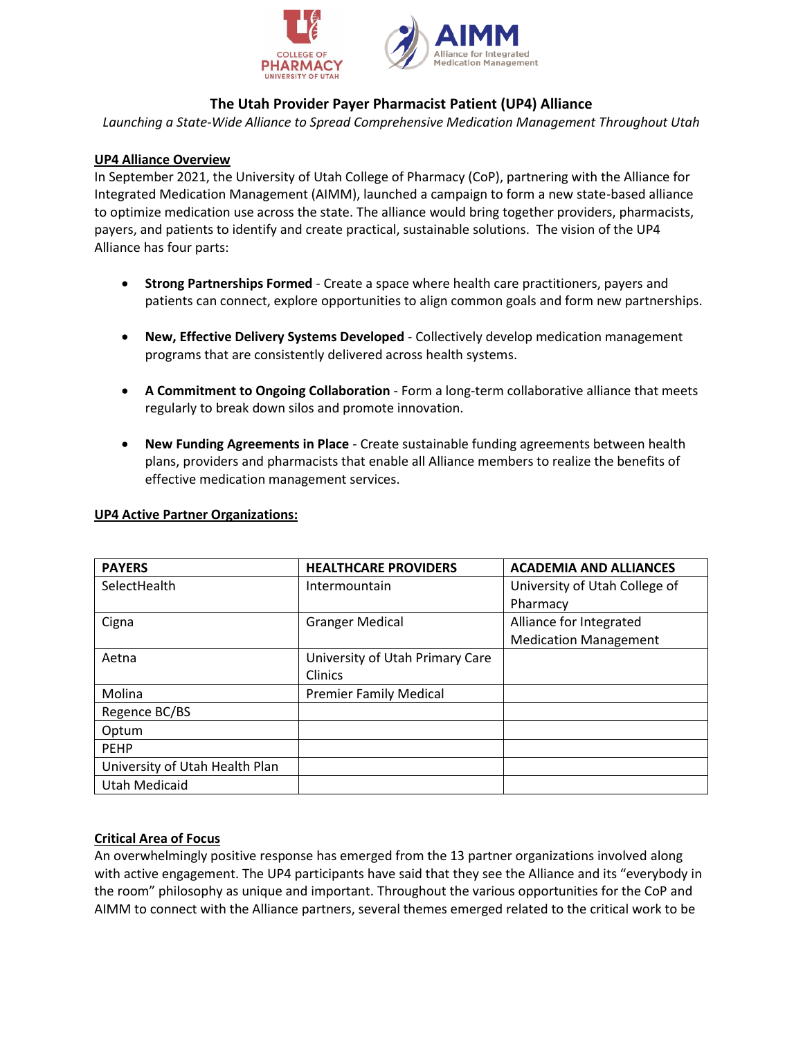

# **The Utah Provider Payer Pharmacist Patient (UP4) Alliance**

*Launching a State-Wide Alliance to Spread Comprehensive Medication Management Throughout Utah*

## **UP4 Alliance Overview**

In September 2021, the University of Utah College of Pharmacy (CoP), partnering with the Alliance for Integrated Medication Management (AIMM), launched a campaign to form a new state-based alliance to optimize medication use across the state. The alliance would bring together providers, pharmacists, payers, and patients to identify and create practical, sustainable solutions. The vision of the UP4 Alliance has four parts:

- **Strong Partnerships Formed**  Create a space where health care practitioners, payers and patients can connect, explore opportunities to align common goals and form new partnerships.
- **New, Effective Delivery Systems Developed** Collectively develop medication management programs that are consistently delivered across health systems.
- **A Commitment to Ongoing Collaboration** Form a long-term collaborative alliance that meets regularly to break down silos and promote innovation.
- **New Funding Agreements in Place** Create sustainable funding agreements between health plans, providers and pharmacists that enable all Alliance members to realize the benefits of effective medication management services.

| <b>PAYERS</b>                  | <b>HEALTHCARE PROVIDERS</b>     | <b>ACADEMIA AND ALLIANCES</b> |
|--------------------------------|---------------------------------|-------------------------------|
| SelectHealth                   | Intermountain                   | University of Utah College of |
|                                |                                 | Pharmacy                      |
| Cigna                          | <b>Granger Medical</b>          | Alliance for Integrated       |
|                                |                                 | <b>Medication Management</b>  |
| Aetna                          | University of Utah Primary Care |                               |
|                                | <b>Clinics</b>                  |                               |
| Molina                         | <b>Premier Family Medical</b>   |                               |
| Regence BC/BS                  |                                 |                               |
| Optum                          |                                 |                               |
| <b>PEHP</b>                    |                                 |                               |
| University of Utah Health Plan |                                 |                               |
| <b>Utah Medicaid</b>           |                                 |                               |

#### **UP4 Active Partner Organizations:**

## **Critical Area of Focus**

An overwhelmingly positive response has emerged from the 13 partner organizations involved along with active engagement. The UP4 participants have said that they see the Alliance and its "everybody in the room" philosophy as unique and important. Throughout the various opportunities for the CoP and AIMM to connect with the Alliance partners, several themes emerged related to the critical work to be